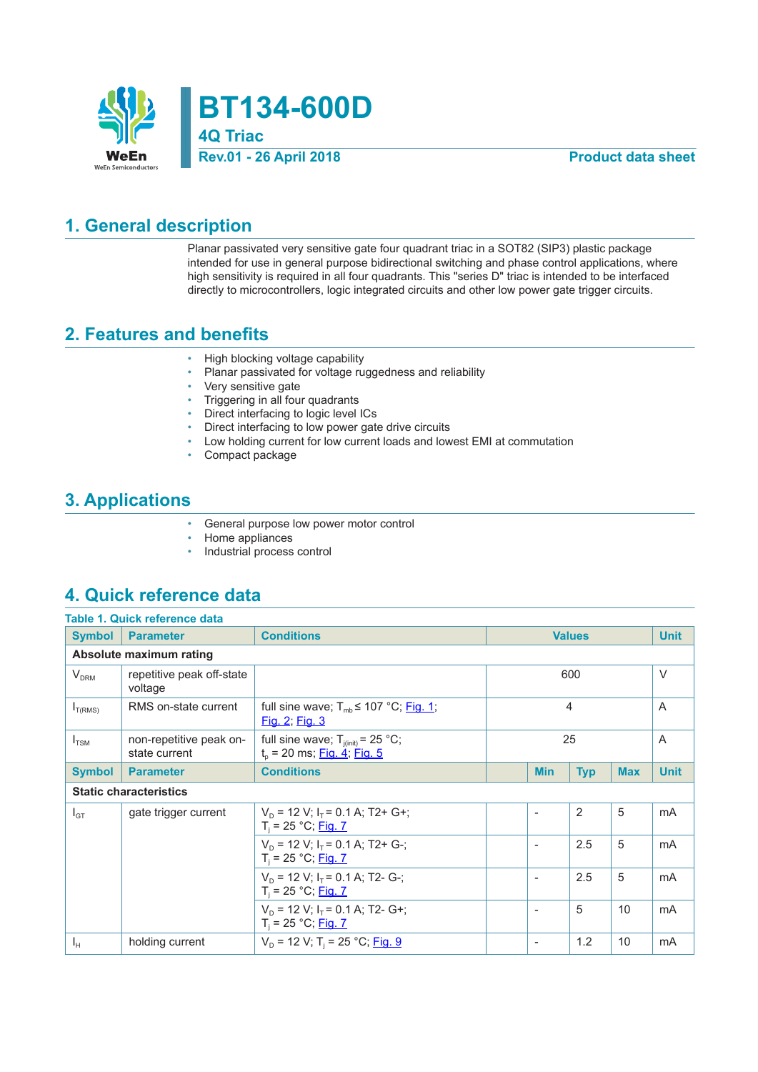

**BT134-600D 4Q Triac**

#### **Rev.01 - 26 April 2018 Product data sheet**

### **1. General description**

Planar passivated very sensitive gate four quadrant triac in a SOT82 (SIP3) plastic package intended for use in general purpose bidirectional switching and phase control applications, where high sensitivity is required in all four quadrants. This "series D" triac is intended to be interfaced directly to microcontrollers, logic integrated circuits and other low power gate trigger circuits.

### **2. Features and benefits**

- High blocking voltage capability
- Planar passivated for voltage ruggedness and reliability
- Very sensitive gate
- Triggering in all four quadrants
- Direct interfacing to logic level ICs
- Direct interfacing to low power gate drive circuits
- Low holding current for low current loads and lowest EMI at commutation
- Compact package

### **3. Applications**

- General purpose low power motor control
- Home appliances<br>• Industrial process
- Industrial process control

#### **4. Quick reference data**

|                  | Table 1. Quick reference data            |                                                                                  |                     |                          |            |             |             |
|------------------|------------------------------------------|----------------------------------------------------------------------------------|---------------------|--------------------------|------------|-------------|-------------|
| <b>Symbol</b>    | <b>Parameter</b>                         | <b>Conditions</b><br><b>Values</b>                                               |                     |                          |            | <b>Unit</b> |             |
|                  | Absolute maximum rating                  |                                                                                  |                     |                          |            |             |             |
| V <sub>DRM</sub> | repetitive peak off-state<br>voltage     |                                                                                  |                     |                          | 600        |             | $\vee$      |
| $I_{T(RMS)}$     | RMS on-state current                     | full sine wave; $T_{mb} \le 107 \degree C$ ; Fig. 1;<br><u>Fig. 2; Fig. 3</u>    | 4<br>$\overline{A}$ |                          |            |             |             |
| $I_{TSM}$        | non-repetitive peak on-<br>state current | full sine wave; $T_{i(int)} = 25 °C$ ;<br>$t_{o}$ = 20 ms; <u>Fig. 4; Fig. 5</u> | 25                  |                          | A          |             |             |
| <b>Symbol</b>    | <b>Parameter</b>                         | <b>Conditions</b>                                                                |                     | <b>Min</b>               | <b>Typ</b> | <b>Max</b>  | <b>Unit</b> |
|                  | <b>Static characteristics</b>            |                                                                                  |                     |                          |            |             |             |
| $I_{GT}$         | gate trigger current                     | $V_p = 12 V$ ; $I_r = 0.1 A$ ; T2+ G+;<br>$T_i = 25 °C;$ Fig. 7                  |                     |                          | 2          | 5           | mA          |
|                  |                                          | $V_p = 12 V$ ; $I_r = 0.1 A$ ; T2+ G-;<br>$T_i = 25 °C;$ Fig. 7                  |                     |                          | 2.5        | 5           | mA          |
|                  |                                          |                                                                                  |                     |                          |            |             |             |
|                  |                                          | $V_p = 12$ V; $I_r = 0.1$ A; T2- G-;<br>$T_i = 25 °C;$ Fig. 7                    |                     | $\overline{\phantom{a}}$ | 2.5        | 5           | mA          |
|                  |                                          | $V_p = 12 V$ ; $I_r = 0.1 A$ ; T2- G+;<br>$T_i = 25 °C;$ Fig. 7                  |                     | $\overline{\phantom{a}}$ | 5          | 10          | mA          |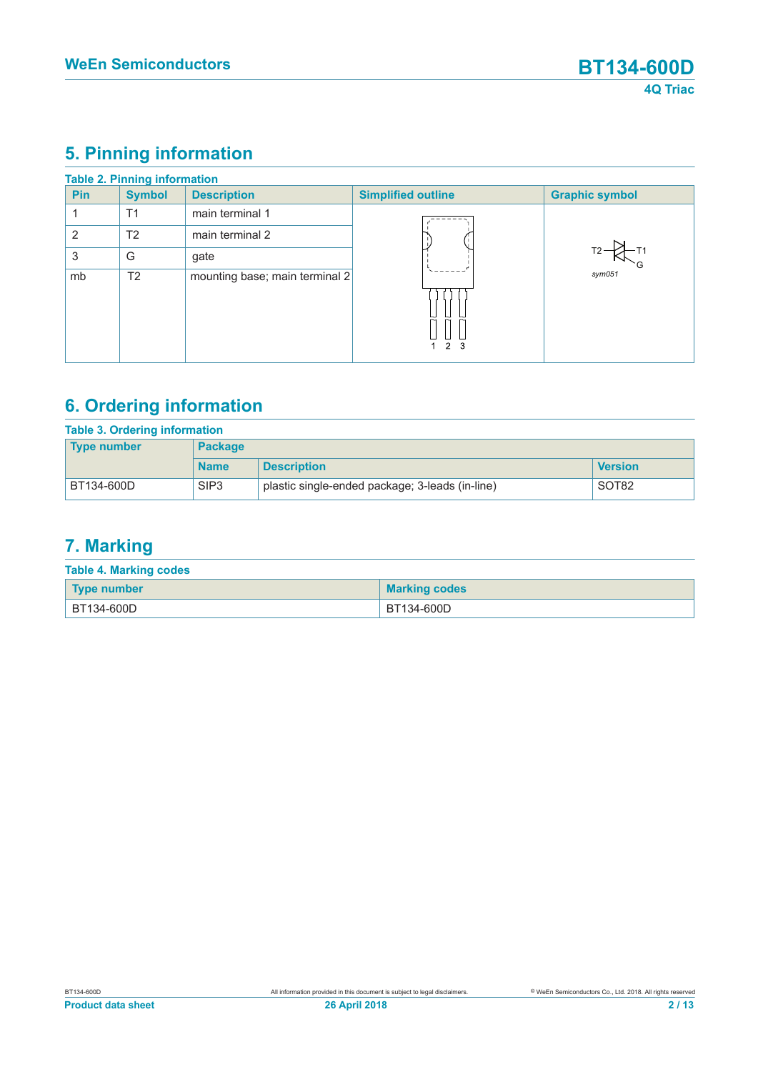# **5. Pinning information**

|                | <b>Table 2. Pinning information</b> |                                |                           |                       |
|----------------|-------------------------------------|--------------------------------|---------------------------|-----------------------|
| <b>Pin</b>     | <b>Symbol</b>                       | <b>Description</b>             | <b>Simplified outline</b> | <b>Graphic symbol</b> |
|                | T1                                  | main terminal 1                |                           |                       |
| $\overline{2}$ | T <sub>2</sub>                      | main terminal 2                |                           |                       |
| 3              | G                                   | gate                           |                           |                       |
| mb             | T <sub>2</sub>                      | mounting base; main terminal 2 |                           | $s$ ym $051$          |
|                |                                     |                                |                           |                       |
|                |                                     |                                | 2 <sub>3</sub>            |                       |

# **6. Ordering information**

| Table 3. Ordering information<br><b>Package</b><br><b>Type number</b>             |             |                    |                |
|-----------------------------------------------------------------------------------|-------------|--------------------|----------------|
|                                                                                   | <b>Name</b> | <b>Description</b> | <b>Version</b> |
| SIP <sub>3</sub><br>plastic single-ended package; 3-leads (in-line)<br>BT134-600D |             | SOT <sub>82</sub>  |                |

# **7. Marking**

| <b>Table 4. Marking codes</b> |                      |  |  |  |
|-------------------------------|----------------------|--|--|--|
| Type number                   | <b>Marking codes</b> |  |  |  |
| <sup>∣</sup> BT134-600D       | BT134-600D           |  |  |  |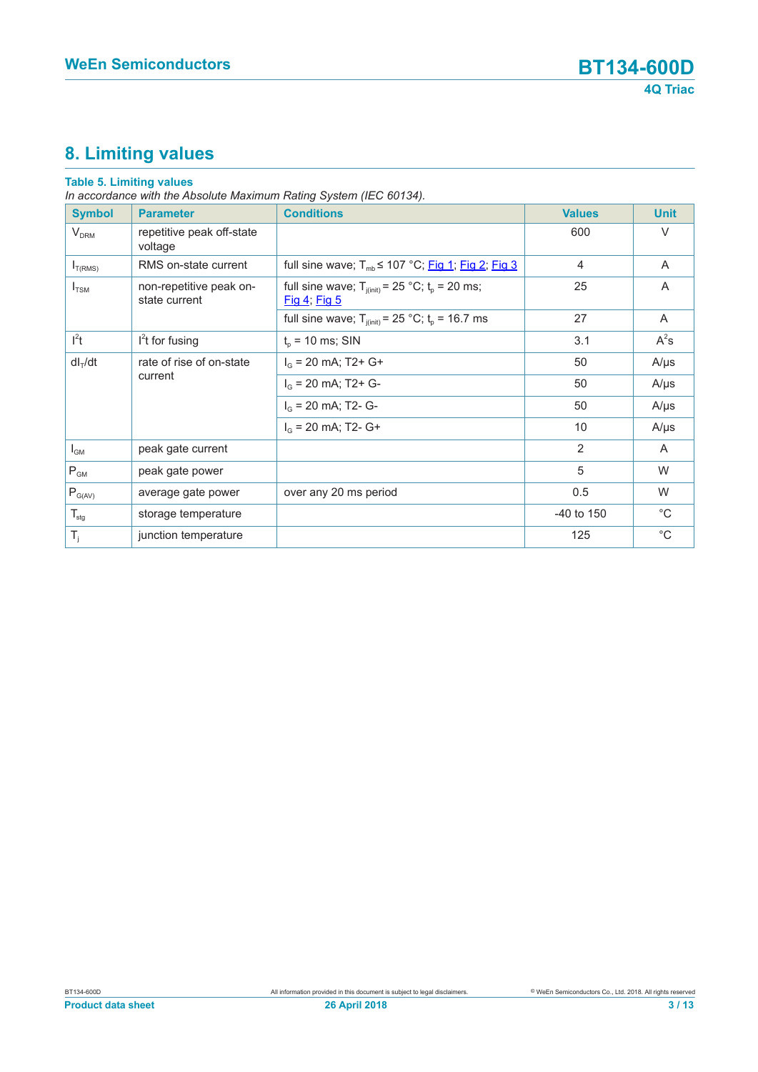# **8. Limiting values**

#### **Table 5. Limiting values**

*In accordance with the Absolute Maximum Rating System (IEC 60134).*

| <b>Symbol</b>    | <b>Parameter</b>                         | <b>Conditions</b>                                                           | <b>Values</b>  | <b>Unit</b>    |
|------------------|------------------------------------------|-----------------------------------------------------------------------------|----------------|----------------|
| $V_{DRM}$        | repetitive peak off-state<br>voltage     |                                                                             | 600            | $\vee$         |
| $I_{T(RMS)}$     | RMS on-state current                     | full sine wave; $T_{mb} \le 107$ °C; Fig 1; Fig 2; Fig 3                    | $\overline{4}$ | A              |
| $I_{TSM}$        | non-repetitive peak on-<br>state current | full sine wave; $T_{j(int)} = 25$ °C; $t_p = 20$ ms;<br><u>Fig 4; Fig 5</u> | 25             | A              |
|                  |                                          | full sine wave; $T_{j(int)} = 25 °C$ ; $t_p = 16.7$ ms                      | 27             | A              |
| $l^2t$           | $l2t$ for fusing                         | $t_{p}$ = 10 ms; SIN                                                        | 3.1            | $A^2s$         |
| $dl_T/dt$        | rate of rise of on-state                 | $I_G$ = 20 mA; T2+ G+                                                       | 50             | $A/\mu s$      |
|                  | current                                  | $I_G$ = 20 mA; T2+ G-                                                       | 50             | $A/\mu s$      |
|                  |                                          | $I_G$ = 20 mA; T2- G-                                                       | 50             | $A/\mu s$      |
|                  |                                          | $I_G$ = 20 mA; T2- G+                                                       | 10             | $A/\mu s$      |
| $I_{GM}$         | peak gate current                        |                                                                             | 2              | $\overline{A}$ |
| $P_{GM}$         | peak gate power                          |                                                                             | 5              | W              |
| $P_{G(AV)}$      | average gate power                       | over any 20 ms period                                                       | 0.5            | W              |
| $T_{\text{stg}}$ | storage temperature                      |                                                                             | $-40$ to 150   | $^{\circ}C$    |
| $T_i$            | junction temperature                     |                                                                             | 125            | $^{\circ}$ C   |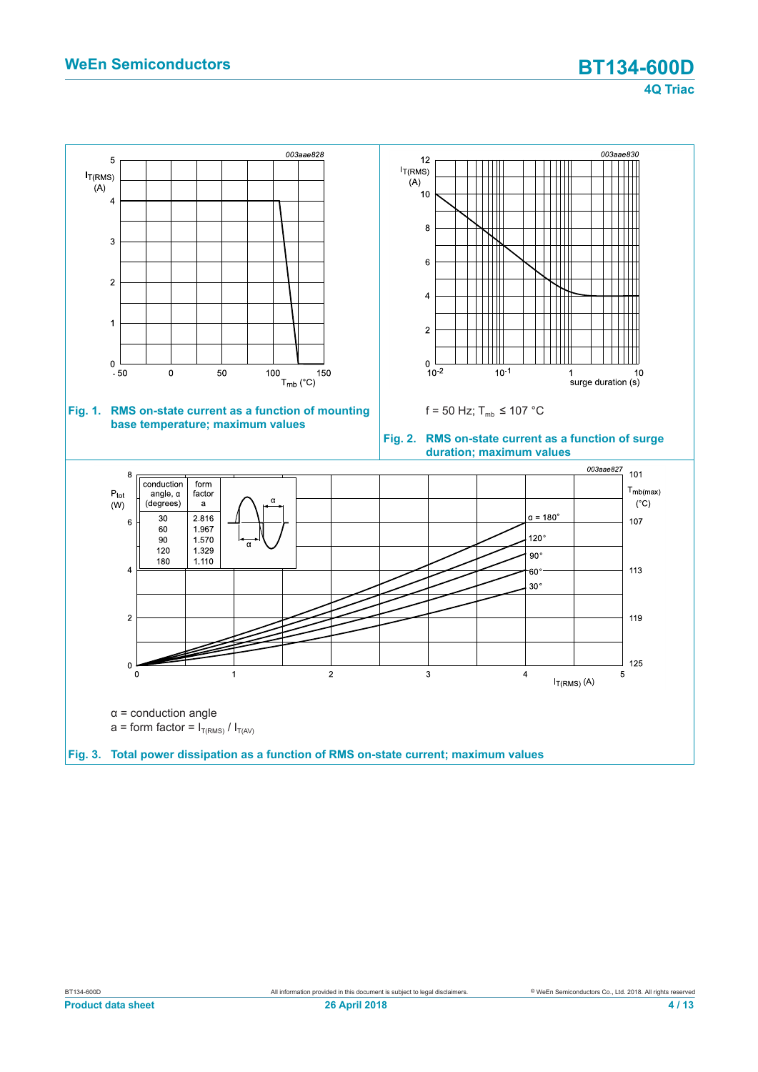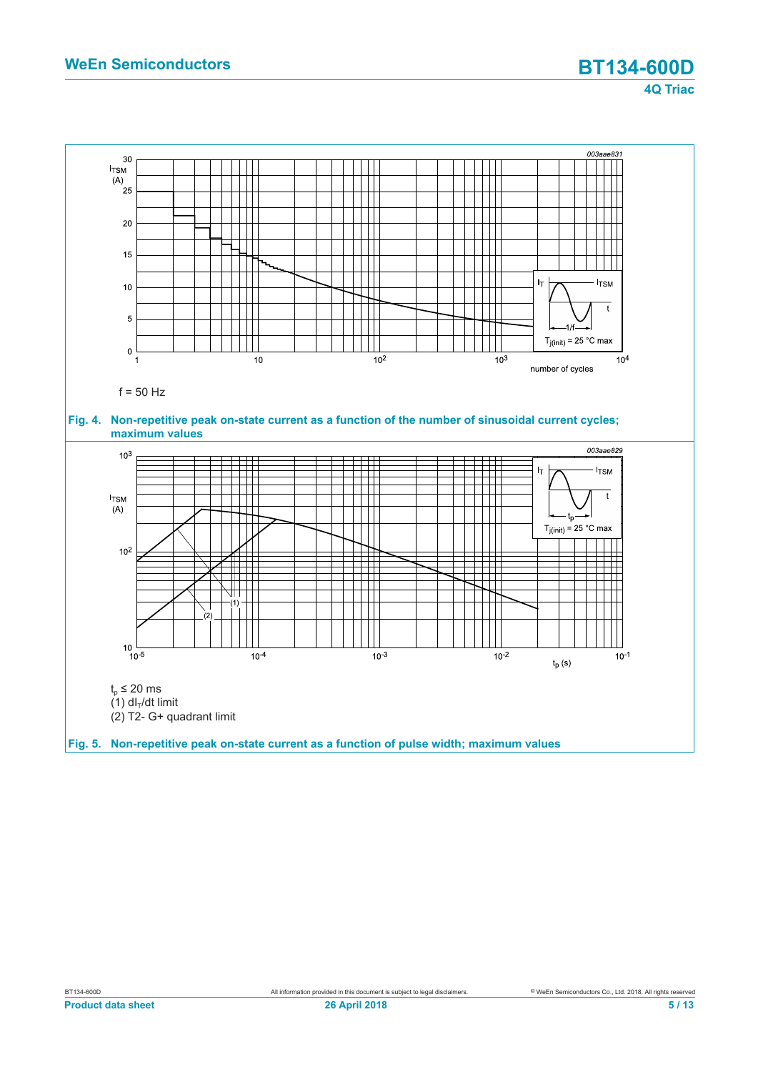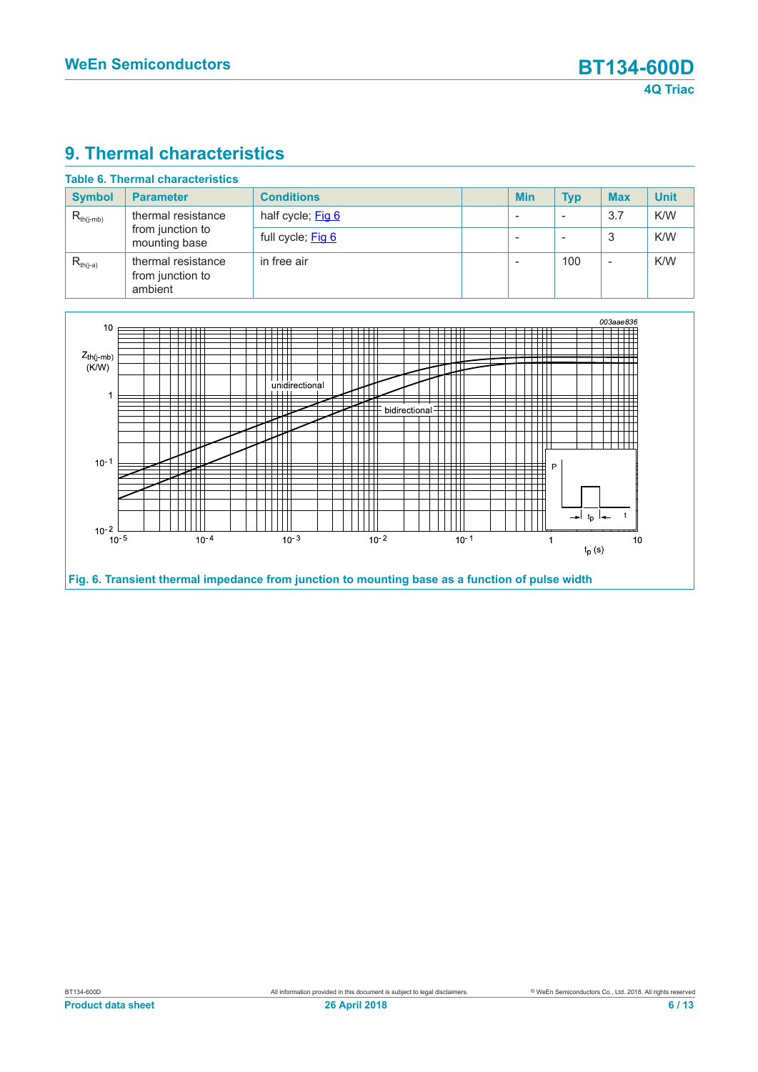### **9. Thermal characteristics**

| <b>Table 6. Thermal characteristics</b> |                                                         |                   |  |            |            |            |             |
|-----------------------------------------|---------------------------------------------------------|-------------------|--|------------|------------|------------|-------------|
| <b>Symbol</b>                           | <b>Parameter</b>                                        | <b>Conditions</b> |  | <b>Min</b> | <b>Typ</b> | <b>Max</b> | <b>Unit</b> |
| $R_{th(i-mb)}$                          | thermal resistance<br>from junction to<br>mounting base | half cycle; Fig 6 |  |            |            | 3.7        | K/W         |
|                                         |                                                         | full cycle; Fig 6 |  |            |            | 3          | K/W         |
| $R_{th(i-a)}$                           | thermal resistance<br>from junction to<br>ambient       | in free air       |  |            | 100        | -          | K/W         |

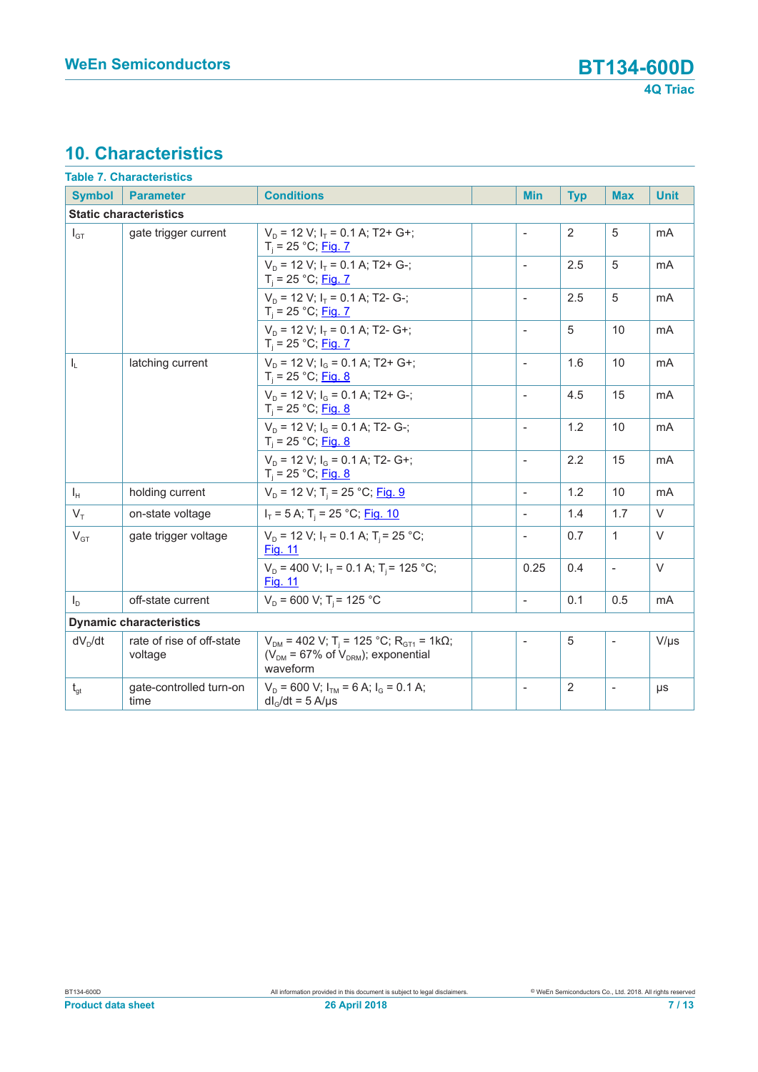# **10. Characteristics**

|                                  | <b>Table 7. Characteristics</b>      |                                                                                                                                 |                          |                |                          |             |
|----------------------------------|--------------------------------------|---------------------------------------------------------------------------------------------------------------------------------|--------------------------|----------------|--------------------------|-------------|
| <b>Symbol</b>                    | <b>Parameter</b>                     | <b>Conditions</b>                                                                                                               | <b>Min</b>               | <b>Typ</b>     | <b>Max</b>               | <b>Unit</b> |
|                                  | <b>Static characteristics</b>        |                                                                                                                                 |                          |                |                          |             |
| $I_{GT}$                         | gate trigger current                 | $V_p = 12 V$ ; $I_r = 0.1 A$ ; T2+ G+;<br>$T_i = 25 °C;$ Fig. 7                                                                 | $\overline{a}$           | 2              | 5                        | mA          |
|                                  |                                      | $V_p = 12$ V; $I_r = 0.1$ A; T2+ G-;<br>$T_i = 25 °C;$ Fig. 7                                                                   | $\overline{a}$           | 2.5            | 5                        | mA          |
|                                  |                                      | $V_p = 12 V$ ; $I_T = 0.1 A$ ; T2- G-;<br>$T_i = 25 °C;$ Fig. 7                                                                 | $\overline{\phantom{a}}$ | 2.5            | 5                        | mA          |
|                                  |                                      | $V_p = 12$ V; $I_r = 0.1$ A; T2- G+;<br>$T_i = 25 °C;$ Fig. 7                                                                   | $\overline{a}$           | 5              | 10                       | mA          |
| $I_L$                            | latching current                     | $V_p = 12$ V; $I_q = 0.1$ A; T2+ G+;<br>$T_i = 25 °C;$ Fig. 8                                                                   | $\blacksquare$           | 1.6            | 10                       | mA          |
|                                  |                                      | $V_D$ = 12 V; $I_G$ = 0.1 A; T2+ G-;<br>$T_i = 25 °C;$ Fig. 8                                                                   | $\overline{\phantom{a}}$ | 4.5            | 15                       | mA          |
|                                  |                                      | $V_D$ = 12 V; $I_G$ = 0.1 A; T2- G-;<br>$T_i = 25 °C;$ Fig. 8                                                                   | $\overline{\phantom{a}}$ | 1.2            | 10                       | mA          |
|                                  |                                      | $V_p = 12$ V; $I_q = 0.1$ A; T2- G+;<br>$T_i = 25 °C;$ Fig. 8                                                                   | $\overline{\phantom{a}}$ | 2.2            | 15                       | mA          |
| $I_{H}$                          | holding current                      | $V_D$ = 12 V; T <sub>i</sub> = 25 °C; Fig. 9                                                                                    | $\blacksquare$           | 1.2            | 10                       | mA          |
| $V_{\tau}$                       | on-state voltage                     | $I_T = 5$ A; T <sub>i</sub> = 25 °C; Fig. 10                                                                                    | $\overline{\phantom{a}}$ | 1.4            | 1.7                      | $\vee$      |
| gate trigger voltage<br>$V_{GT}$ |                                      | $V_D$ = 12 V; $I_T$ = 0.1 A; T <sub>i</sub> = 25 °C;<br>Fig. 11                                                                 | $\frac{1}{2}$            | 0.7            | $\mathbf{1}$             | $\vee$      |
|                                  |                                      | $V_D$ = 400 V; $I_T$ = 0.1 A; T <sub>i</sub> = 125 °C;<br><b>Fig. 11</b>                                                        | 0.25                     | 0.4            | $\overline{a}$           | $\vee$      |
| $I_{\rm D}$                      | off-state current                    | $V_D$ = 600 V; T <sub>i</sub> = 125 °C                                                                                          | $\overline{a}$           | 0.1            | 0.5                      | mA          |
|                                  | <b>Dynamic characteristics</b>       |                                                                                                                                 |                          |                |                          |             |
| $dV_D/dt$                        | rate of rise of off-state<br>voltage | $V_{DM}$ = 402 V; T <sub>i</sub> = 125 °C; R <sub>GT1</sub> = 1k $\Omega$ ;<br>$(VDM = 67%$ of $VDRM$ ; exponential<br>waveform | $\overline{\phantom{a}}$ | $\sqrt{5}$     | $\overline{\phantom{a}}$ | $V/\mu s$   |
| $t_{gt}$                         | gate-controlled turn-on<br>time      | $V_D$ = 600 V; $I_{TM}$ = 6 A; $I_G$ = 0.1 A;<br>$dlG/dt = 5 A/µs$                                                              | $\overline{\phantom{a}}$ | $\overline{2}$ |                          | μs          |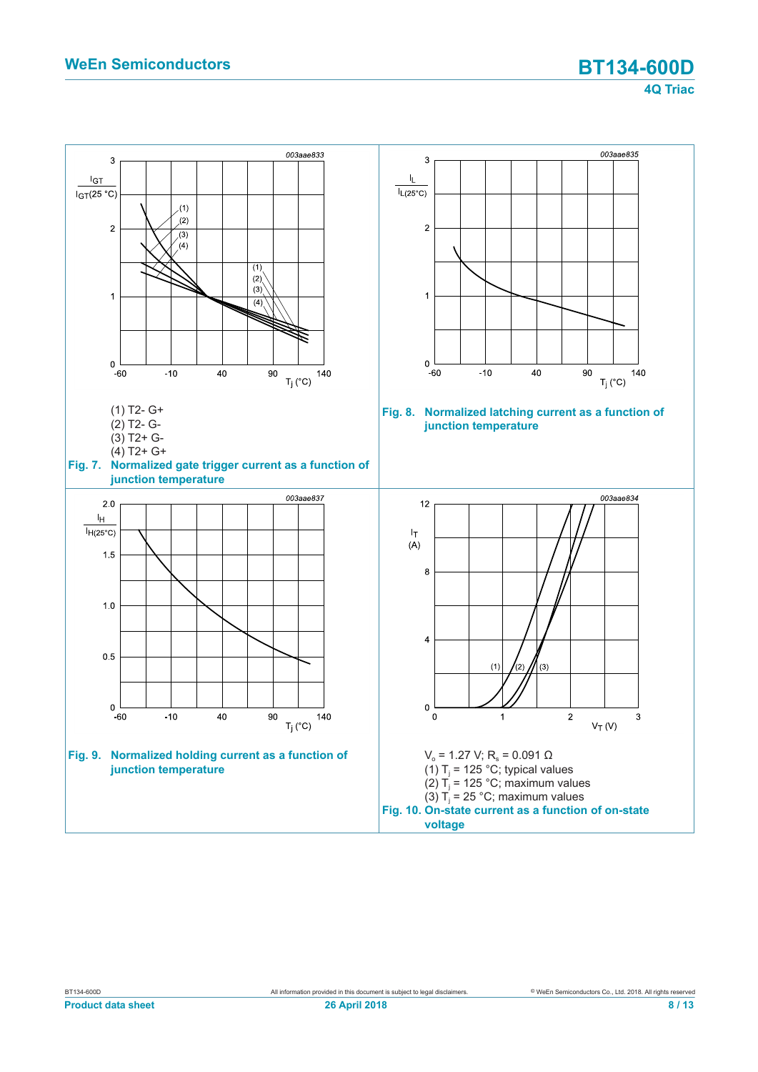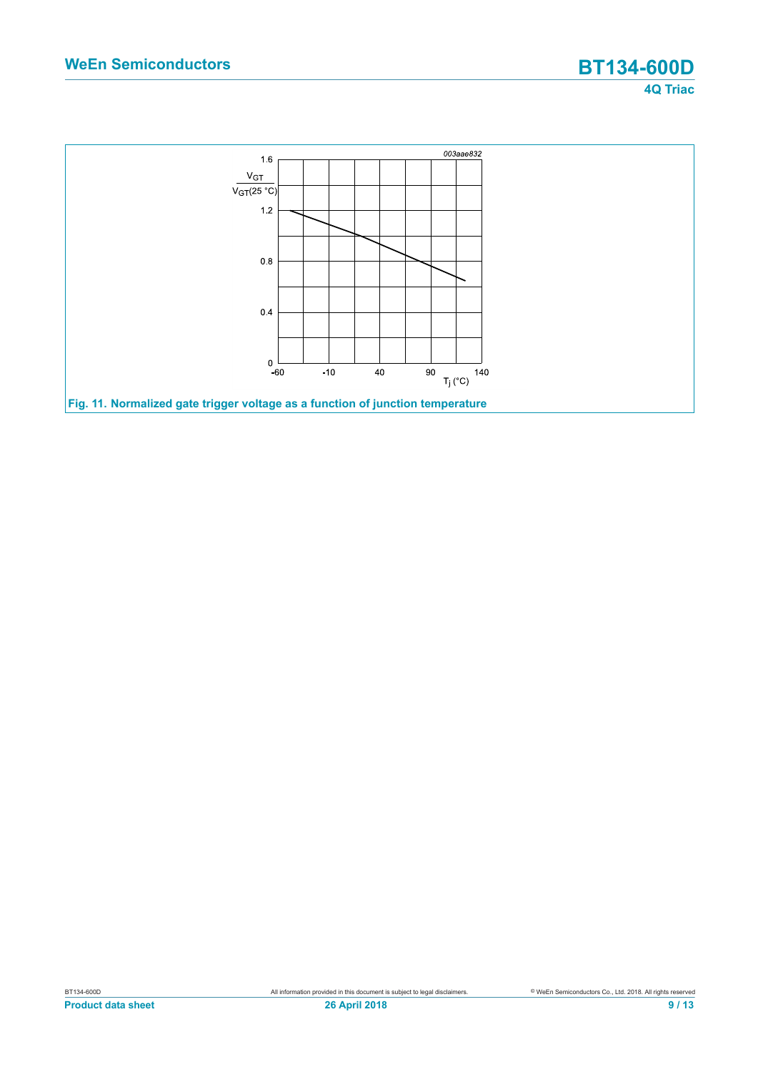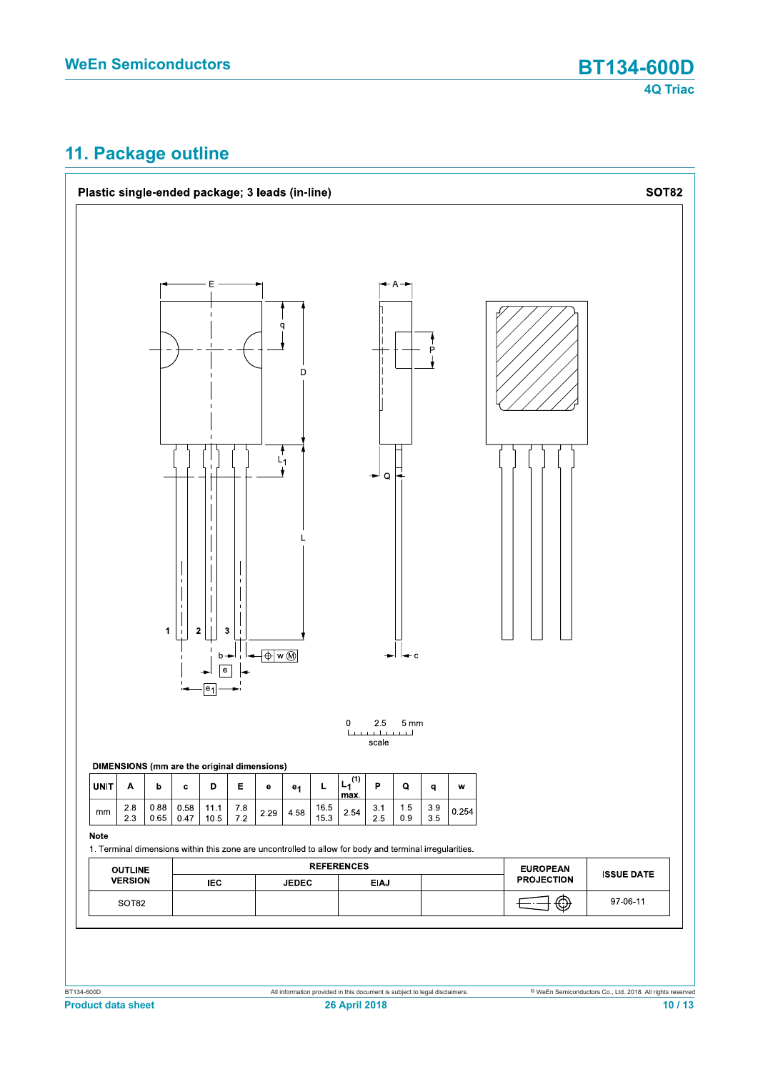# **11. Package outline**

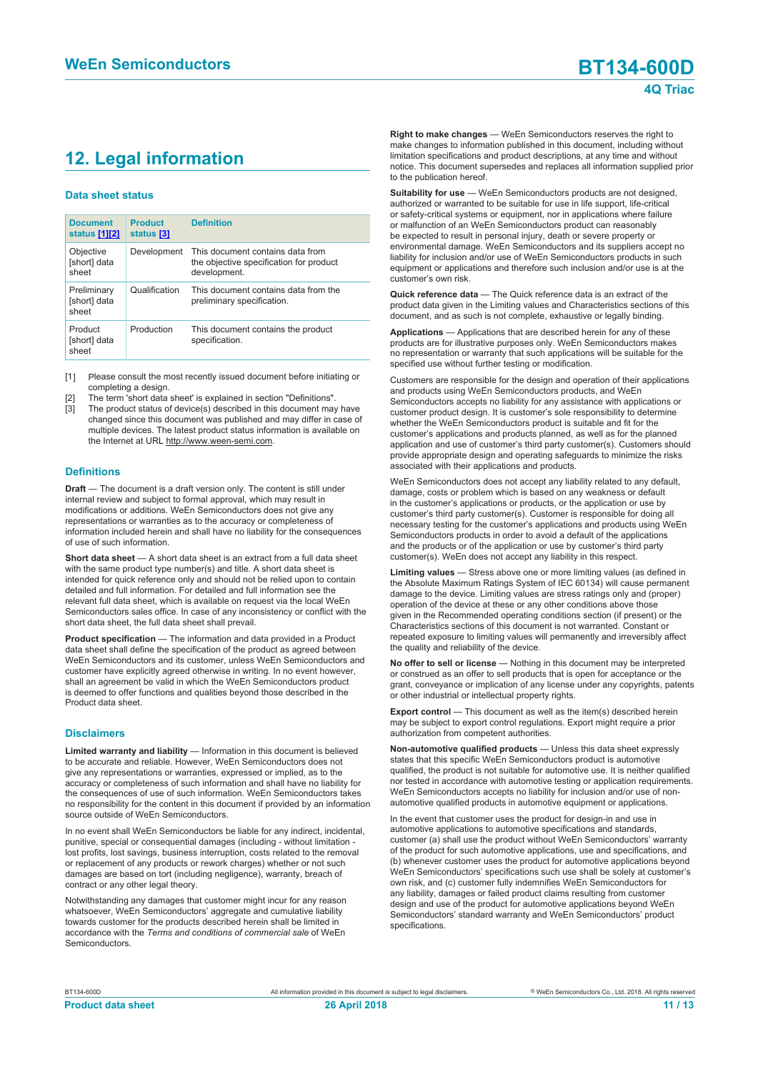# **12. Legal information**

#### **Data sheet status**

| <b>Document</b><br>status [1][2]     | <b>Product</b><br>status [3] | <b>Definition</b>                                                                           |
|--------------------------------------|------------------------------|---------------------------------------------------------------------------------------------|
| Objective<br>[short] data<br>sheet   | Development                  | This document contains data from<br>the objective specification for product<br>development. |
| Preliminary<br>[short] data<br>sheet | Qualification                | This document contains data from the<br>preliminary specification.                          |
| Product<br>[short] data<br>sheet     | Production                   | This document contains the product<br>specification.                                        |

[1] Please consult the most recently issued document before initiating or completing a design.

- [2] The term 'short data sheet' is explained in section "Definitions".
- [3] The product status of device(s) described in this document may have changed since this document was published and may differ in case of multiple devices. The latest product status information is available on the Internet at URL http://www.ween-semi.com.

#### **Definitions**

**Draft** — The document is a draft version only. The content is still under internal review and subject to formal approval, which may result in modifications or additions. WeEn Semiconductors does not give any representations or warranties as to the accuracy or completeness of information included herein and shall have no liability for the consequences of use of such information.

**Short data sheet** — A short data sheet is an extract from a full data sheet with the same product type number(s) and title. A short data sheet is intended for quick reference only and should not be relied upon to contain detailed and full information. For detailed and full information see the relevant full data sheet, which is available on request via the local WeEn Semiconductors sales office. In case of any inconsistency or conflict with the short data sheet, the full data sheet shall prevail.

**Product specification** — The information and data provided in a Product data sheet shall define the specification of the product as agreed between WeEn Semiconductors and its customer, unless WeEn Semiconductors and customer have explicitly agreed otherwise in writing. In no event however, shall an agreement be valid in which the WeEn Semiconductors product is deemed to offer functions and qualities beyond those described in the Product data sheet.

#### **Disclaimers**

**Limited warranty and liability** — Information in this document is believed to be accurate and reliable. However, WeEn Semiconductors does not give any representations or warranties, expressed or implied, as to the accuracy or completeness of such information and shall have no liability for the consequences of use of such information. WeEn Semiconductors takes no responsibility for the content in this document if provided by an information source outside of WeEn Semiconductors.

In no event shall WeEn Semiconductors be liable for any indirect, incidental, punitive, special or consequential damages (including - without limitation lost profits, lost savings, business interruption, costs related to the removal or replacement of any products or rework charges) whether or not such damages are based on tort (including negligence), warranty, breach of contract or any other legal theory.

Notwithstanding any damages that customer might incur for any reason whatsoever, WeEn Semiconductors' aggregate and cumulative liability towards customer for the products described herein shall be limited in accordance with the *Terms and conditions of commercial sale* of WeEn Semiconductors.

**Right to make changes** — WeEn Semiconductors reserves the right to make changes to information published in this document, including without limitation specifications and product descriptions, at any time and without notice. This document supersedes and replaces all information supplied prior to the publication hereof.

**Suitability for use** — WeEn Semiconductors products are not designed, authorized or warranted to be suitable for use in life support, life-critical or safety-critical systems or equipment, nor in applications where failure or malfunction of an WeEn Semiconductors product can reasonably be expected to result in personal injury, death or severe property or environmental damage. WeEn Semiconductors and its suppliers accept no liability for inclusion and/or use of WeEn Semiconductors products in such equipment or applications and therefore such inclusion and/or use is at the customer's own risk.

**Quick reference data** — The Quick reference data is an extract of the product data given in the Limiting values and Characteristics sections of this document, and as such is not complete, exhaustive or legally binding.

**Applications** — Applications that are described herein for any of these products are for illustrative purposes only. WeEn Semiconductors makes no representation or warranty that such applications will be suitable for the specified use without further testing or modification.

Customers are responsible for the design and operation of their applications and products using WeEn Semiconductors products, and WeEn Semiconductors accepts no liability for any assistance with applications or customer product design. It is customer's sole responsibility to determine whether the WeEn Semiconductors product is suitable and fit for the customer's applications and products planned, as well as for the planned application and use of customer's third party customer(s). Customers should provide appropriate design and operating safeguards to minimize the risks associated with their applications and products.

WeEn Semiconductors does not accept any liability related to any default, damage, costs or problem which is based on any weakness or default in the customer's applications or products, or the application or use by customer's third party customer(s). Customer is responsible for doing all necessary testing for the customer's applications and products using WeEn Semiconductors products in order to avoid a default of the applications and the products or of the application or use by customer's third party customer(s). WeEn does not accept any liability in this respect.

**Limiting values** — Stress above one or more limiting values (as defined in the Absolute Maximum Ratings System of IEC 60134) will cause permanent damage to the device. Limiting values are stress ratings only and (proper) operation of the device at these or any other conditions above those given in the Recommended operating conditions section (if present) or the Characteristics sections of this document is not warranted. Constant or repeated exposure to limiting values will permanently and irreversibly affect the quality and reliability of the device.

**No offer to sell or license** — Nothing in this document may be interpreted or construed as an offer to sell products that is open for acceptance or the grant, conveyance or implication of any license under any copyrights, patents or other industrial or intellectual property rights.

**Export control** — This document as well as the item(s) described herein may be subject to export control regulations. Export might require a prior authorization from competent authorities.

**Non-automotive qualified products** — Unless this data sheet expressly states that this specific WeEn Semiconductors product is automotive qualified, the product is not suitable for automotive use. It is neither qualified nor tested in accordance with automotive testing or application requirements. WeEn Semiconductors accepts no liability for inclusion and/or use of nonautomotive qualified products in automotive equipment or applications.

In the event that customer uses the product for design-in and use in automotive applications to automotive specifications and standards, customer (a) shall use the product without WeEn Semiconductors' warranty of the product for such automotive applications, use and specifications, and (b) whenever customer uses the product for automotive applications beyond WeEn Semiconductors' specifications such use shall be solely at customer's own risk, and (c) customer fully indemnifies WeEn Semiconductors for any liability, damages or failed product claims resulting from customer design and use of the product for automotive applications beyond WeEn Semiconductors' standard warranty and WeEn Semiconductors' product specifications.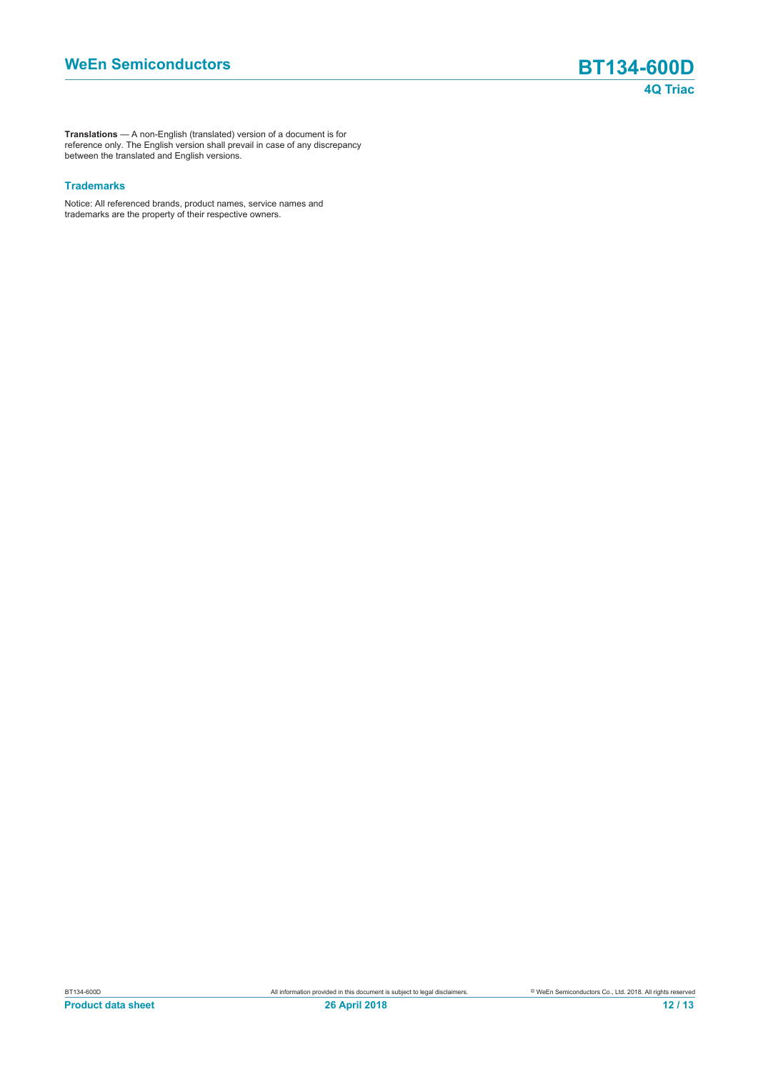**Translations** — A non-English (translated) version of a document is for reference only. The English version shall prevail in case of any discrepancy between the translated and English versions.

#### **Trademarks**

Notice: All referenced brands, product names, service names and trademarks are the property of their respective owners.